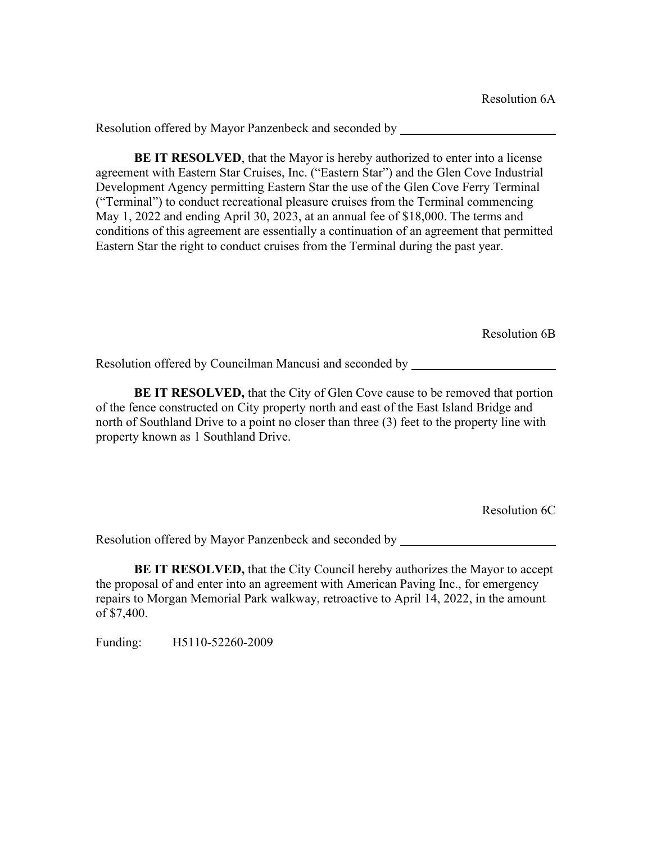**BE IT RESOLVED**, that the Mayor is hereby authorized to enter into a license agreement with Eastern Star Cruises, Inc. ("Eastern Star") and the Glen Cove Industrial Development Agency permitting Eastern Star the use of the Glen Cove Ferry Terminal ("Terminal") to conduct recreational pleasure cruises from the Terminal commencing May 1, 2022 and ending April 30, 2023, at an annual fee of \$18,000. The terms and conditions of this agreement are essentially a continuation of an agreement that permitted Eastern Star the right to conduct cruises from the Terminal during the past year.

Resolution 6B

Resolution offered by Councilman Mancusi and seconded by

**BE IT RESOLVED,** that the City of Glen Cove cause to be removed that portion of the fence constructed on City property north and east of the East Island Bridge and north of Southland Drive to a point no closer than three (3) feet to the property line with property known as 1 Southland Drive.

Resolution 6C

Resolution offered by Mayor Panzenbeck and seconded by

**BE IT RESOLVED,** that the City Council hereby authorizes the Mayor to accept the proposal of and enter into an agreement with American Paving Inc., for emergency repairs to Morgan Memorial Park walkway, retroactive to April 14, 2022, in the amount of \$7,400.

Funding: H5110-52260-2009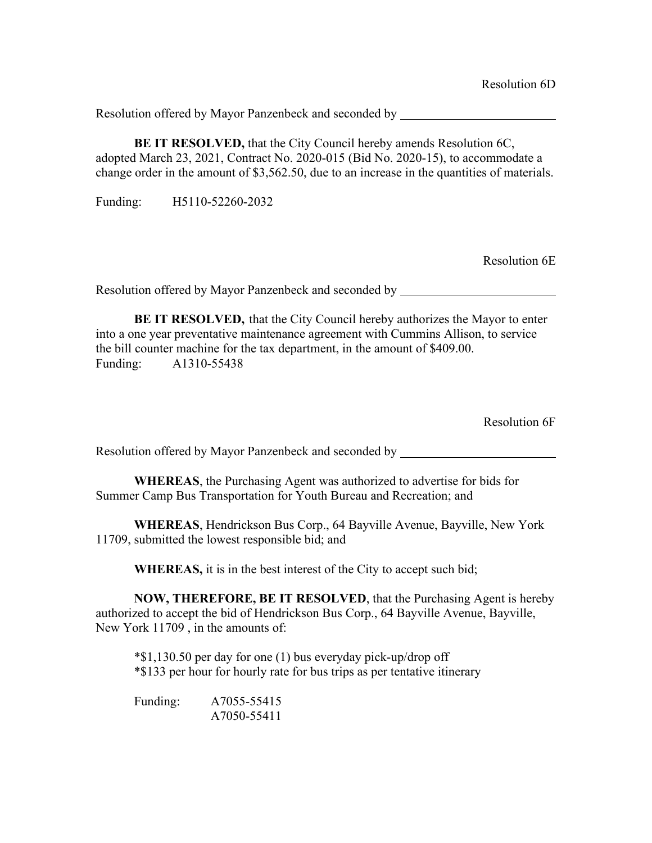**BE IT RESOLVED, that the City Council hereby amends Resolution 6C,** adopted March 23, 2021, Contract No. 2020-015 (Bid No. 2020-15), to accommodate a change order in the amount of \$3,562.50, due to an increase in the quantities of materials.

Funding: H5110-52260-2032

Resolution 6E

Resolution offered by Mayor Panzenbeck and seconded by

**BE IT RESOLVED,** that the City Council hereby authorizes the Mayor to enter into a one year preventative maintenance agreement with Cummins Allison, to service the bill counter machine for the tax department, in the amount of \$409.00. Funding: A1310-55438

Resolution 6F

Resolution offered by Mayor Panzenbeck and seconded by

**WHEREAS**, the Purchasing Agent was authorized to advertise for bids for Summer Camp Bus Transportation for Youth Bureau and Recreation; and

**WHEREAS**, Hendrickson Bus Corp., 64 Bayville Avenue, Bayville, New York 11709, submitted the lowest responsible bid; and

**WHEREAS,** it is in the best interest of the City to accept such bid;

**NOW, THEREFORE, BE IT RESOLVED**, that the Purchasing Agent is hereby authorized to accept the bid of Hendrickson Bus Corp., 64 Bayville Avenue, Bayville, New York 11709 , in the amounts of:

\*\$1,130.50 per day for one (1) bus everyday pick-up/drop off \*\$133 per hour for hourly rate for bus trips as per tentative itinerary

Funding: A7055-55415 A7050-55411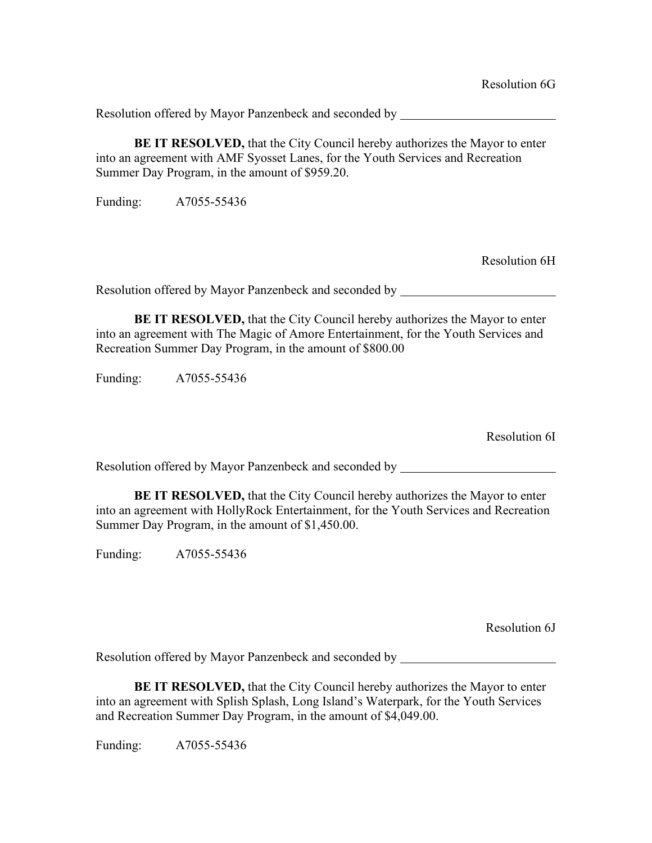**BE IT RESOLVED,** that the City Council hereby authorizes the Mayor to enter into an agreement with AMF Syosset Lanes, for the Youth Services and Recreation Summer Day Program, in the amount of \$959.20.

Funding: A7055-55436

Resolution 6H

Resolution offered by Mayor Panzenbeck and seconded by

**BE IT RESOLVED,** that the City Council hereby authorizes the Mayor to enter into an agreement with The Magic of Amore Entertainment, for the Youth Services and Recreation Summer Day Program, in the amount of \$800.00

Funding: A7055-55436

Resolution 6I

Resolution offered by Mayor Panzenbeck and seconded by

**BE IT RESOLVED,** that the City Council hereby authorizes the Mayor to enter into an agreement with HollyRock Entertainment, for the Youth Services and Recreation Summer Day Program, in the amount of \$1,450.00.

Funding: A7055-55436

Resolution 6J

Resolution offered by Mayor Panzenbeck and seconded by

**BE IT RESOLVED,** that the City Council hereby authorizes the Mayor to enter into an agreement with Splish Splash, Long Island's Waterpark, for the Youth Services and Recreation Summer Day Program, in the amount of \$4,049.00.

Funding: A7055-55436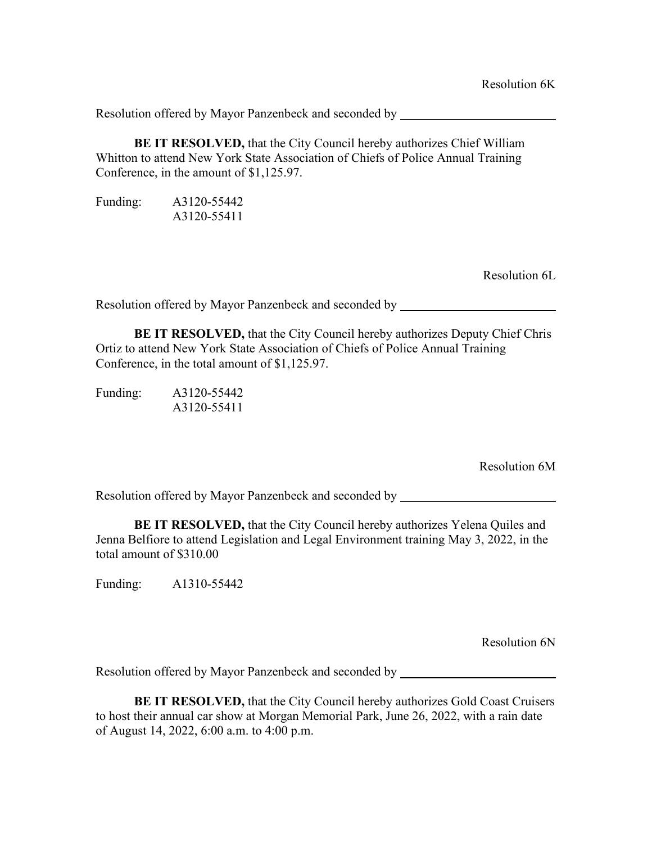**BE IT RESOLVED,** that the City Council hereby authorizes Chief William Whitton to attend New York State Association of Chiefs of Police Annual Training Conference, in the amount of \$1,125.97.

Funding: A3120-55442 A3120-55411

Resolution 6L

Resolution offered by Mayor Panzenbeck and seconded by

**BE IT RESOLVED,** that the City Council hereby authorizes Deputy Chief Chris Ortiz to attend New York State Association of Chiefs of Police Annual Training Conference, in the total amount of \$1,125.97.

| Funding: | A3120-55442 |
|----------|-------------|
|          | A3120-55411 |

Resolution 6M

Resolution offered by Mayor Panzenbeck and seconded by

**BE IT RESOLVED,** that the City Council hereby authorizes Yelena Quiles and Jenna Belfiore to attend Legislation and Legal Environment training May 3, 2022, in the total amount of \$310.00

Funding: A1310-55442

Resolution 6N

Resolution offered by Mayor Panzenbeck and seconded by

**BE IT RESOLVED,** that the City Council hereby authorizes Gold Coast Cruisers to host their annual car show at Morgan Memorial Park, June 26, 2022, with a rain date of August 14, 2022, 6:00 a.m. to 4:00 p.m.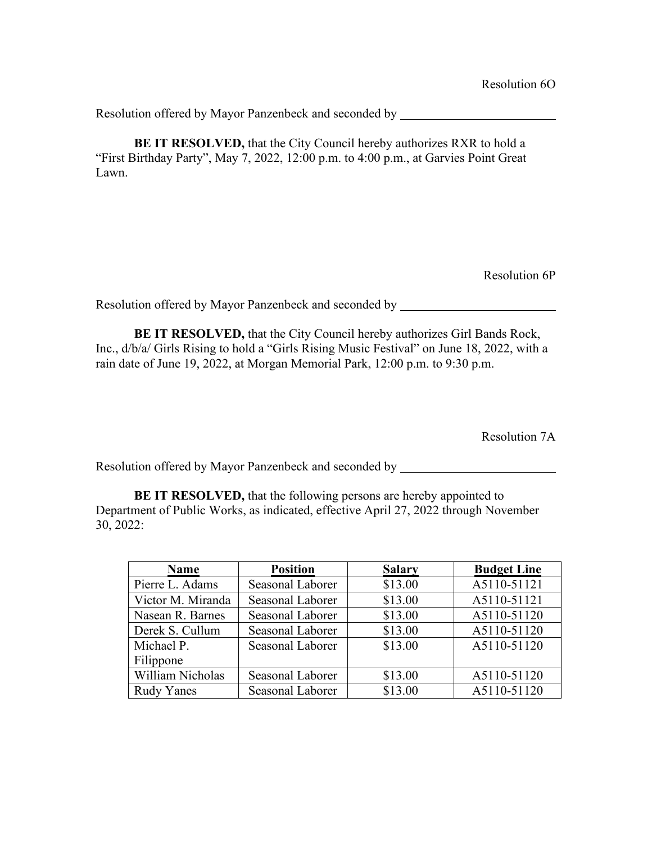**BE IT RESOLVED,** that the City Council hereby authorizes RXR to hold a "First Birthday Party", May 7, 2022, 12:00 p.m. to 4:00 p.m., at Garvies Point Great Lawn.

Resolution 6P

Resolution offered by Mayor Panzenbeck and seconded by

**BE IT RESOLVED,** that the City Council hereby authorizes Girl Bands Rock, Inc., d/b/a/ Girls Rising to hold a "Girls Rising Music Festival" on June 18, 2022, with a rain date of June 19, 2022, at Morgan Memorial Park, 12:00 p.m. to 9:30 p.m.

Resolution 7A

Resolution offered by Mayor Panzenbeck and seconded by

**BE IT RESOLVED,** that the following persons are hereby appointed to Department of Public Works, as indicated, effective April 27, 2022 through November 30, 2022:

| <b>Name</b>       | <b>Position</b>  | <b>Salary</b> | <b>Budget Line</b> |
|-------------------|------------------|---------------|--------------------|
| Pierre L. Adams   | Seasonal Laborer | \$13.00       | A5110-51121        |
| Victor M. Miranda | Seasonal Laborer | \$13.00       | A5110-51121        |
| Nasean R. Barnes  | Seasonal Laborer | \$13.00       | A5110-51120        |
| Derek S. Cullum   | Seasonal Laborer | \$13.00       | A5110-51120        |
| Michael P.        | Seasonal Laborer | \$13.00       | A5110-51120        |
| Filippone         |                  |               |                    |
| William Nicholas  | Seasonal Laborer | \$13.00       | A5110-51120        |
| <b>Rudy Yanes</b> | Seasonal Laborer | \$13.00       | A5110-51120        |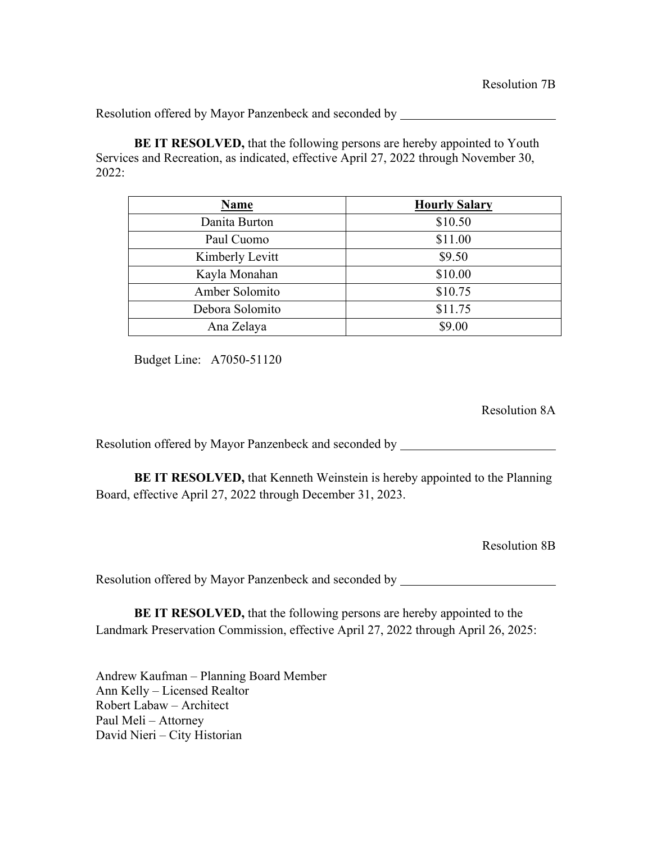**BE IT RESOLVED,** that the following persons are hereby appointed to Youth Services and Recreation, as indicated, effective April 27, 2022 through November 30, 2022:

| <b>Name</b>     | <b>Hourly Salary</b> |
|-----------------|----------------------|
| Danita Burton   | \$10.50              |
| Paul Cuomo      | \$11.00              |
| Kimberly Levitt | \$9.50               |
| Kayla Monahan   | \$10.00              |
| Amber Solomito  | \$10.75              |
| Debora Solomito | \$11.75              |
| Ana Zelaya      | \$9.00               |

Budget Line: A7050-51120

Resolution 8A

Resolution offered by Mayor Panzenbeck and seconded by \_\_\_\_\_\_\_\_\_\_\_\_\_\_\_\_\_\_\_\_\_\_\_\_\_

**BE IT RESOLVED,** that Kenneth Weinstein is hereby appointed to the Planning Board, effective April 27, 2022 through December 31, 2023.

Resolution 8B

Resolution offered by Mayor Panzenbeck and seconded by \_\_\_\_\_\_\_\_\_\_\_\_\_\_\_\_\_\_\_\_\_\_\_\_\_

**BE IT RESOLVED,** that the following persons are hereby appointed to the Landmark Preservation Commission, effective April 27, 2022 through April 26, 2025:

Andrew Kaufman – Planning Board Member Ann Kelly – Licensed Realtor Robert Labaw – Architect Paul Meli – Attorney David Nieri – City Historian